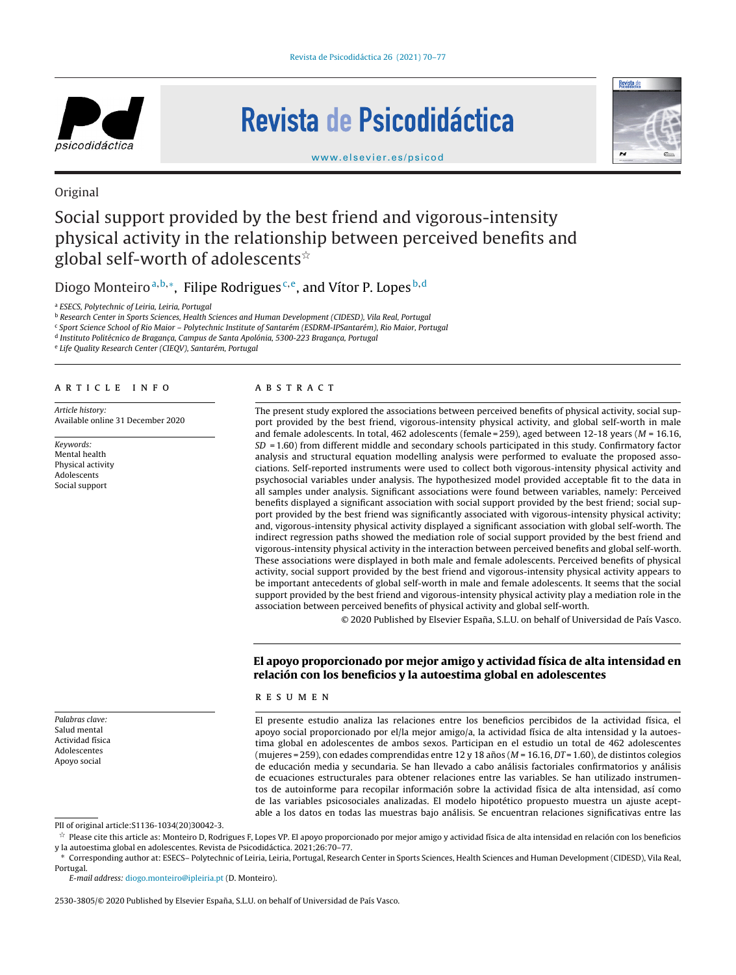

# Revista de Psicodidáctica



[www.elsevier.es/psicod](http://www.elsevier.es/psicod)

### Original

## Social support provided by the best friend and vigorous-intensity physical activity in the relationship between perceived benefits and global self-worth of adolescents $^{\star}$

Diogo Monteiro<sup>a,b,\*</sup>, Filipe Rodrigues<sup>c,e</sup>, and Vítor P. Lopes<sup>b,d</sup>

<sup>a</sup> ESECS, Polytechnic of Leiria, Leiria, Portugal

<sup>b</sup> Research Center in Sports Sciences, Health Sciences and Human Development (CIDESD), Vila Real, Portugal

<sup>c</sup> Sport Science School of Rio Maior – Polytechnic Institute of Santarém (ESDRM-IPSantarém), Rio Maior, Portugal

<sup>d</sup> Instituto Politécnico de Bragança, Campus de Santa Apolónia, 5300-223 Bragança, Portugal

<sup>e</sup> Life Quality Research Center (CIEQV), Santarém, Portugal

#### a r t i c l e i n f o

Article history: Available online 31 December 2020

Keywords: Mental health Physical activity Adolescents Social support

Palabras clave: Salud mental Actividad física Adolescentes Apoyo social

#### A B S T R A C T

The present study explored the associations between perceived benefits of physical activity, social support provided by the best friend, vigorous-intensity physical activity, and global self-worth in male and female adolescents. In total, 462 adolescents (female = 259), aged between 12-18 years ( $M = 16.16$ , SD = 1.60) from different middle and secondary schools participated in this study. Confirmatory factor analysis and structural equation modelling analysis were performed to evaluate the proposed associations. Self-reported instruments were used to collect both vigorous-intensity physical activity and psychosocial variables under analysis. The hypothesized model provided acceptable fit to the data in all samples under analysis. Significant associations were found between variables, namely: Perceived benefits displayed a significant association with social support provided by the best friend; social support provided by the best friend was significantly associated with vigorous-intensity physical activity; and, vigorous-intensity physical activity displayed a significant association with global self-worth. The indirect regression paths showed the mediation role of social support provided by the best friend and vigorous-intensity physical activity in the interaction between perceived benefits and global self-worth. These associations were displayed in both male and female adolescents. Perceived benefits of physical activity, social support provided by the best friend and vigorous-intensity physical activity appears to be important antecedents of global self-worth in male and female adolescents. It seems that the social support provided by the best friend and vigorous-intensity physical activity play a mediation role in the association between perceived benefits of physical activity and global self-worth.

© 2020 Published by Elsevier España, S.L.U. on behalf of Universidad de País Vasco.

#### **El apoyo proporcionado por mejor amigo y actividad física de alta intensidad en relación con los beneficios y la autoestima global en adolescentes**

#### r e s u m e n

El presente estudio analiza las relaciones entre los beneficios percibidos de la actividad física, el apoyo social proporcionado por el/la mejor amigo/a, la actividad física de alta intensidad y la autoestima global en adolescentes de ambos sexos. Participan en el estudio un total de 462 adolescentes (mujeres = 259), con edades comprendidas entre 12 y 18 años (M = 16.16, DT = 1.60), de distintos colegios de educación media y secundaria. Se han llevado a cabo análisis factoriales confirmatorios y análisis de ecuaciones estructurales para obtener relaciones entre las variables. Se han utilizado instrumentos de autoinforme para recopilar información sobre la actividad física de alta intensidad, así como de las variables psicosociales analizadas. El modelo hipotético propuesto muestra un ajuste aceptable a los datos en todas las muestras bajo análisis. Se encuentran relaciones significativas entre las

PII of original article:S1136-1034(20)30042-3.

 $^\star$  Please cite this article as: Monteiro D, Rodrigues F, Lopes VP. El apoyo proporcionado por mejor amigo y actividad física de alta intensidad en relación con los beneficios y la autoestima global en adolescentes. Revista de Psicodidáctica. 2021;26:70–77.

∗ Corresponding author at: ESECS– Polytechnic of Leiria, Leiria, Portugal, Research Center in Sports Sciences, Health Sciences and Human Development (CIDESD), Vila Real, Portugal.

E-mail address: [diogo.monteiro@ipleiria.pt](mailto:diogo.monteiro@ipleiria.pt) (D. Monteiro).

2530-3805/© 2020 Published by Elsevier España, S.L.U. on behalf of Universidad de País Vasco.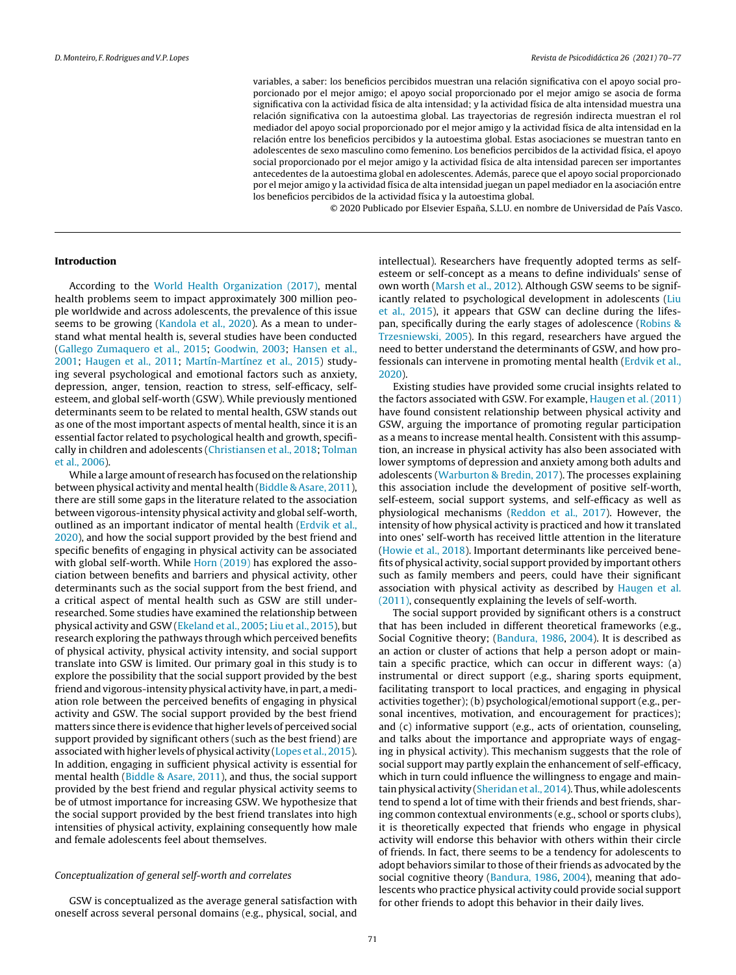variables, a saber: los beneficios percibidos muestran una relación significativa con el apoyo social proporcionado por el mejor amigo; el apoyo social proporcionado por el mejor amigo se asocia de forma significativa con la actividad física de alta intensidad; y la actividad física de alta intensidad muestra una relación significativa con la autoestima global. Las trayectorias de regresión indirecta muestran el rol mediador del apoyo social proporcionado por el mejor amigo y la actividad física de alta intensidad en la relación entre los beneficios percibidos y la autoestima global. Estas asociaciones se muestran tanto en adolescentes de sexo masculino como femenino. Los beneficios percibidos de la actividad física, el apoyo social proporcionado por el mejor amigo y la actividad física de alta intensidad parecen ser importantes antecedentes de la autoestima global en adolescentes. Además, parece que el apoyo social proporcionado por el mejor amigo y la actividad física de alta intensidad juegan un papel mediador en la asociación entre los beneficios percibidos de la actividad física y la autoestima global.

© 2020 Publicado por Elsevier España, S.L.U. en nombre de Universidad de País Vasco.

#### **Introduction**

According to the [World](#page-7-0) [Health](#page-7-0) [Organization](#page-7-0) [\(2017\),](#page-7-0) mental health problems seem to impact approximately 300 million people worldwide and across adolescents, the prevalence of this issue seems to be growing ([Kandola](#page-7-0) [et](#page-7-0) [al.,](#page-7-0) [2020\).](#page-7-0) As a mean to understand what mental health is, several studies have been conducted [\(Gallego](#page-7-0) [Zumaquero](#page-7-0) [et](#page-7-0) [al.,](#page-7-0) [2015;](#page-7-0) [Goodwin,](#page-7-0) [2003;](#page-7-0) [Hansen](#page-7-0) et [al.,](#page-7-0) [2001;](#page-7-0) [Haugen](#page-7-0) et [al.,](#page-7-0) [2011;](#page-7-0) [Martín-Martínez](#page-7-0) et [al.,](#page-7-0) [2015\)](#page-7-0) studying several psychological and emotional factors such as anxiety, depression, anger, tension, reaction to stress, self-efficacy, selfesteem, and global self-worth (GSW). While previously mentioned determinants seem to be related to mental health, GSW stands out as one of the most important aspects of mental health, since it is an essential factor related to psychological health and growth, specifically in children and adolescents ([Christiansen](#page-6-0) et [al.,](#page-6-0) [2018;](#page-6-0) [Tolman](#page-7-0) et [al.,](#page-7-0) [2006\).](#page-7-0)

While a large amount of research has focused on the relationship between physical activity and mental health [\(Biddle](#page-6-0) [&](#page-6-0) [Asare,](#page-6-0) [2011\),](#page-6-0) there are still some gaps in the literature related to the association between vigorous-intensity physical activity and global self-worth, outlined as an important indicator of mental health [\(Erdvik](#page-7-0) [et](#page-7-0) [al.,](#page-7-0) [2020\),](#page-7-0) and how the social support provided by the best friend and specific benefits of engaging in physical activity can be associated with global self-worth. While [Horn](#page-7-0) [\(2019\)](#page-7-0) has explored the association between benefits and barriers and physical activity, other determinants such as the social support from the best friend, and a critical aspect of mental health such as GSW are still underresearched. Some studies have examined the relationship between physical activity and GSW [\(Ekeland](#page-6-0) [et](#page-6-0) [al.,](#page-6-0) [2005;](#page-6-0) [Liu](#page-7-0) et [al.,](#page-7-0) [2015\),](#page-7-0) but research exploring the pathways through which perceived benefits of physical activity, physical activity intensity, and social support translate into GSW is limited. Our primary goal in this study is to explore the possibility that the social support provided by the best friend and vigorous-intensity physical activity have, in part, a mediation role between the perceived benefits of engaging in physical activity and GSW. The social support provided by the best friend matters since there is evidence that higher levels of perceived social support provided by significant others (such as the best friend) are associated with higher levels of physical activity ([Lopes](#page-7-0) [et](#page-7-0) [al.,](#page-7-0) [2015\).](#page-7-0) In addition, engaging in sufficient physical activity is essential for mental health [\(Biddle](#page-6-0) [&](#page-6-0) [Asare,](#page-6-0) [2011\),](#page-6-0) and thus, the social support provided by the best friend and regular physical activity seems to be of utmost importance for increasing GSW. We hypothesize that the social support provided by the best friend translates into high intensities of physical activity, explaining consequently how male and female adolescents feel about themselves.

#### Conceptualization of general self-worth and correlates

GSW is conceptualized as the average general satisfaction with oneself across several personal domains (e.g., physical, social, and

intellectual). Researchers have frequently adopted terms as selfesteem or self-concept as a means to define individuals' sense of own worth ([Marsh](#page-7-0) [et](#page-7-0) [al.,](#page-7-0) [2012\).](#page-7-0) Although GSW seems to be signif-icantly related to psychological development in adolescents ([Liu](#page-7-0) et [al.,](#page-7-0) [2015\),](#page-7-0) it appears that GSW can decline during the lifespan, specifically during the early stages of adolescence ([Robins](#page-7-0) [&](#page-7-0) [Trzesniewski,](#page-7-0) [2005\).](#page-7-0) In this regard, researchers have argued the need to better understand the determinants of GSW, and how professionals can intervene in promoting mental health [\(Erdvik](#page-7-0) et [al.,](#page-7-0) [2020\).](#page-7-0)

Existing studies have provided some crucial insights related to the factors associated with GSW. For example, [Haugen](#page-7-0) et [al.](#page-7-0) [\(2011\)](#page-7-0) have found consistent relationship between physical activity and GSW, arguing the importance of promoting regular participation as a means to increase mental health. Consistent with this assumption, an increase in physical activity has also been associated with lower symptoms of depression and anxiety among both adults and adolescents [\(Warburton](#page-7-0) [&](#page-7-0) [Bredin,](#page-7-0) [2017\).](#page-7-0) The processes explaining this association include the development of positive self-worth, self-esteem, social support systems, and self-efficacy as well as physiological mechanisms [\(Reddon](#page-7-0) [et](#page-7-0) [al.,](#page-7-0) [2017\).](#page-7-0) However, the intensity of how physical activity is practiced and how it translated into ones' self-worth has received little attention in the literature ([Howie](#page-7-0) [et](#page-7-0) [al.,](#page-7-0) [2018\).](#page-7-0) Important determinants like perceived benefits of physical activity, social support provided by important others such as family members and peers, could have their significant association with physical activity as described by [Haugen](#page-7-0) et [al.](#page-7-0) [\(2011\),](#page-7-0) consequently explaining the levels of self-worth.

The social support provided by significant others is a construct that has been included in different theoretical frameworks (e.g., Social Cognitive theory; ([Bandura,](#page-6-0) [1986,](#page-6-0) [2004\).](#page-6-0) It is described as an action or cluster of actions that help a person adopt or maintain a specific practice, which can occur in different ways: (a) instrumental or direct support (e.g., sharing sports equipment, facilitating transport to local practices, and engaging in physical activities together); (b) psychological/emotional support (e.g., personal incentives, motivation, and encouragement for practices); and (c) informative support (e.g., acts of orientation, counseling, and talks about the importance and appropriate ways of engaging in physical activity). This mechanism suggests that the role of social support may partly explain the enhancement of self-efficacy, which in turn could influence the willingness to engage and maintainphysical activity [\(Sheridanet](#page-7-0) [al.,](#page-7-0) [2014\).](#page-7-0) Thus, while adolescents tend to spend a lot of time with their friends and best friends, sharing common contextual environments (e.g., school or sports clubs), it is theoretically expected that friends who engage in physical activity will endorse this behavior with others within their circle of friends. In fact, there seems to be a tendency for adolescents to adopt behaviors similar to those of their friends as advocated by the social cognitive theory ([Bandura,](#page-6-0) [1986,](#page-6-0) [2004\),](#page-6-0) meaning that adolescents who practice physical activity could provide social support for other friends to adopt this behavior in their daily lives.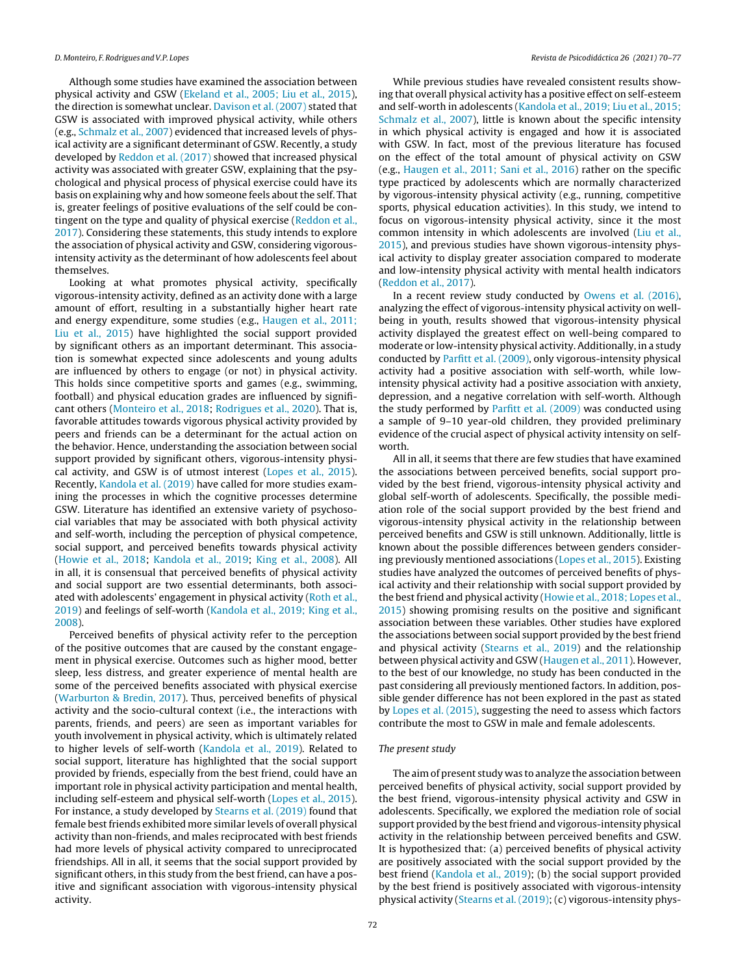Although some studies have examined the association between physical activity and GSW [\(Ekeland](#page-6-0) et [al.,](#page-6-0) [2005;](#page-6-0) [Liu](#page-6-0) et [al.,](#page-6-0) [2015\),](#page-6-0) the direction is somewhat unclear. [Davison](#page-6-0) [et](#page-6-0) [al.](#page-6-0) [\(2007\)](#page-6-0) stated that GSW is associated with improved physical activity, while others (e.g., [Schmalz](#page-7-0) [et](#page-7-0) [al.,](#page-7-0) [2007\)](#page-7-0) evidenced that increased levels of physical activity are a significant determinant of GSW. Recently, a study developed by [Reddon](#page-7-0) et [al.](#page-7-0) [\(2017\)](#page-7-0) showed that increased physical activity was associated with greater GSW, explaining that the psychological and physical process of physical exercise could have its basis on explaining why and how someone feels about the self. That is, greater feelings of positive evaluations of the self could be contingent on the type and quality of physical exercise [\(Reddon](#page-7-0) et [al.,](#page-7-0) [2017\).](#page-7-0) Considering these statements, this study intends to explore the association of physical activity and GSW, considering vigorousintensity activity as the determinant of how adolescents feel about themselves.

Looking at what promotes physical activity, specifically vigorous-intensity activity, defined as an activity done with a large amount of effort, resulting in a substantially higher heart rate and energy expenditure, some studies (e.g., [Haugen](#page-7-0) et [al.,](#page-7-0) [2011;](#page-7-0) [Liu](#page-7-0) et [al.,](#page-7-0) [2015\)](#page-7-0) have highlighted the social support provided by significant others as an important determinant. This association is somewhat expected since adolescents and young adults are influenced by others to engage (or not) in physical activity. This holds since competitive sports and games (e.g., swimming, football) and physical education grades are influenced by significant others ([Monteiro](#page-7-0) [et](#page-7-0) [al.,](#page-7-0) [2018;](#page-7-0) [Rodrigues](#page-7-0) et [al.,](#page-7-0) [2020\).](#page-7-0) That is, favorable attitudes towards vigorous physical activity provided by peers and friends can be a determinant for the actual action on the behavior. Hence, understanding the association between social support provided by significant others, vigorous-intensity physical activity, and GSW is of utmost interest ([Lopes](#page-7-0) et [al.,](#page-7-0) [2015\).](#page-7-0) Recently, [Kandola](#page-7-0) [et](#page-7-0) [al.](#page-7-0) [\(2019\)](#page-7-0) have called for more studies examining the processes in which the cognitive processes determine GSW. Literature has identified an extensive variety of psychosocial variables that may be associated with both physical activity and self-worth, including the perception of physical competence, social support, and perceived benefits towards physical activity [\(Howie](#page-7-0) et [al.,](#page-7-0) [2018;](#page-7-0) [Kandola](#page-7-0) et [al.,](#page-7-0) [2019;](#page-7-0) [King](#page-7-0) et [al.,](#page-7-0) [2008\).](#page-7-0) All in all, it is consensual that perceived benefits of physical activity and social support are two essential determinants, both associ-ated with adolescents' engagement in physical activity ([Roth](#page-7-0) et [al.,](#page-7-0) [2019\)](#page-7-0) and feelings of self-worth ([Kandola](#page-7-0) et [al.,](#page-7-0) [2019;](#page-7-0) [King](#page-7-0) et [al.,](#page-7-0) [2008\).](#page-7-0)

Perceived benefits of physical activity refer to the perception of the positive outcomes that are caused by the constant engagement in physical exercise. Outcomes such as higher mood, better sleep, less distress, and greater experience of mental health are some of the perceived benefits associated with physical exercise [\(Warburton](#page-7-0) [&](#page-7-0) [Bredin,](#page-7-0) [2017\).](#page-7-0) Thus, perceived benefits of physical activity and the socio-cultural context (i.e., the interactions with parents, friends, and peers) are seen as important variables for youth involvement in physical activity, which is ultimately related to higher levels of self-worth [\(Kandola](#page-7-0) et [al.,](#page-7-0) [2019\).](#page-7-0) Related to social support, literature has highlighted that the social support provided by friends, especially from the best friend, could have an important role in physical activity participation and mental health, including self-esteem and physical self-worth ([Lopes](#page-7-0) et [al.,](#page-7-0) [2015\).](#page-7-0) For instance, a study developed by [Stearns](#page-7-0) et [al.](#page-7-0) [\(2019\)](#page-7-0) found that female best friends exhibited more similar levels of overall physical activity than non-friends, and males reciprocated with best friends had more levels of physical activity compared to unreciprocated friendships. All in all, it seems that the social support provided by significant others, in this study from the best friend, can have a positive and significant association with vigorous-intensity physical activity.

While previous studies have revealed consistent results showing that overall physical activity has a positive effect on self-esteem and self-worth in adolescents ([Kandola](#page-7-0) et [al.,](#page-7-0) [2019;](#page-7-0) [Liu](#page-7-0) et [al.,](#page-7-0) [2015;](#page-7-0) [Schmalz](#page-7-0) et [al.,](#page-7-0) [2007\),](#page-7-0) little is known about the specific intensity in which physical activity is engaged and how it is associated with GSW. In fact, most of the previous literature has focused on the effect of the total amount of physical activity on GSW (e.g., [Haugen](#page-7-0) et [al.,](#page-7-0) [2011;](#page-7-0) [Sani](#page-7-0) et [al.,](#page-7-0) [2016\)](#page-7-0) rather on the specific type practiced by adolescents which are normally characterized by vigorous-intensity physical activity (e.g., running, competitive sports, physical education activities). In this study, we intend to focus on vigorous-intensity physical activity, since it the most common intensity in which adolescents are involved ([Liu](#page-7-0) et [al.,](#page-7-0) [2015\),](#page-7-0) and previous studies have shown vigorous-intensity physical activity to display greater association compared to moderate and low-intensity physical activity with mental health indicators ([Reddon](#page-7-0) et [al.,](#page-7-0) [2017\).](#page-7-0)

In a recent review study conducted by [Owens](#page-7-0) [et](#page-7-0) [al.](#page-7-0) [\(2016\),](#page-7-0) analyzing the effect of vigorous-intensity physical activity on wellbeing in youth, results showed that vigorous-intensity physical activity displayed the greatest effect on well-being compared to moderate or low-intensity physical activity. Additionally, in a study conducted by [Parfitt](#page-7-0) [et](#page-7-0) [al.](#page-7-0) [\(2009\),](#page-7-0) only vigorous-intensity physical activity had a positive association with self-worth, while lowintensity physical activity had a positive association with anxiety, depression, and a negative correlation with self-worth. Although the study performed by [Parfitt](#page-7-0) et [al.](#page-7-0) [\(2009\)](#page-7-0) was conducted using a sample of 9–10 year-old children, they provided preliminary evidence of the crucial aspect of physical activity intensity on selfworth.

All in all, it seems that there are few studies that have examined the associations between perceived benefits, social support provided by the best friend, vigorous-intensity physical activity and global self-worth of adolescents. Specifically, the possible mediation role of the social support provided by the best friend and vigorous-intensity physical activity in the relationship between perceived benefits and GSW is still unknown. Additionally, little is known about the possible differences between genders considering previously mentioned associations ([Lopes](#page-7-0) et [al.,](#page-7-0) [2015\).](#page-7-0) Existing studies have analyzed the outcomes of perceived benefits of physical activity and their relationship with social support provided by the best friend and physical activity [\(Howie](#page-7-0) et [al.,](#page-7-0) [2018;](#page-7-0) [Lopes](#page-7-0) et al., [2015\)](#page-7-0) showing promising results on the positive and significant association between these variables. Other studies have explored the associations between social support provided by the best friend and physical activity ([Stearns](#page-7-0) et [al.,](#page-7-0) [2019\)](#page-7-0) and the relationship between physical activity and GSW ([Haugen](#page-7-0) et [al.,](#page-7-0) [2011\).](#page-7-0) However, to the best of our knowledge, no study has been conducted in the past considering all previously mentioned factors. In addition, possible gender difference has not been explored in the past as stated by [Lopes](#page-7-0) et [al.](#page-7-0) [\(2015\),](#page-7-0) suggesting the need to assess which factors contribute the most to GSW in male and female adolescents.

#### The present study

The aim of present study was to analyze the association between perceived benefits of physical activity, social support provided by the best friend, vigorous-intensity physical activity and GSW in adolescents. Specifically, we explored the mediation role of social support provided by the best friend and vigorous-intensity physical activity in the relationship between perceived benefits and GSW. It is hypothesized that: (a) perceived benefits of physical activity are positively associated with the social support provided by the best friend ([Kandola](#page-7-0) et [al.,](#page-7-0) [2019\);](#page-7-0) (b) the social support provided by the best friend is positively associated with vigorous-intensity physical activity [\(Stearns](#page-7-0) et [al.](#page-7-0) [\(2019\);](#page-7-0) (c) vigorous-intensity phys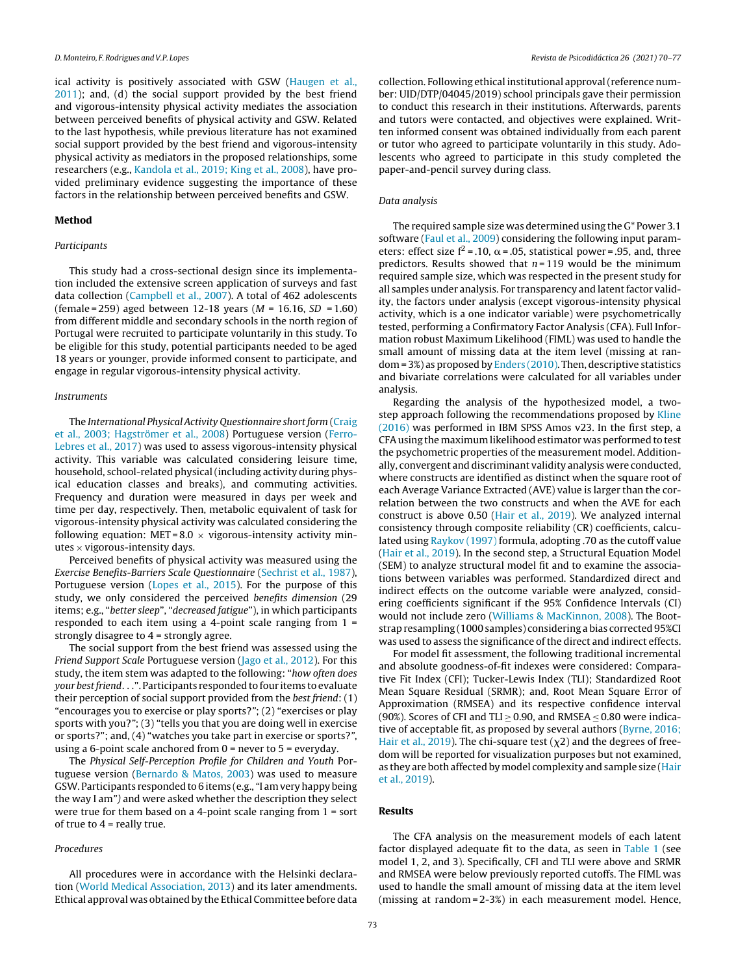ical activity is positively associated with GSW [\(Haugen](#page-7-0) et [al.,](#page-7-0) [2011\);](#page-7-0) and, (d) the social support provided by the best friend and vigorous-intensity physical activity mediates the association between perceived benefits of physical activity and GSW. Related to the last hypothesis, while previous literature has not examined social support provided by the best friend and vigorous-intensity physical activity as mediators in the proposed relationships, some researchers (e.g., [Kandola](#page-7-0) et [al.,](#page-7-0) [2019;](#page-7-0) [King](#page-7-0) et [al.,](#page-7-0) [2008\),](#page-7-0) have provided preliminary evidence suggesting the importance of these factors in the relationship between perceived benefits and GSW.

#### **Method**

#### Participants

This study had a cross-sectional design since its implementation included the extensive screen application of surveys and fast data collection [\(Campbell](#page-6-0) [et](#page-6-0) [al.,](#page-6-0) [2007\).](#page-6-0) A total of 462 adolescents (female = 259) aged between 12-18 years ( $M = 16.16$ ,  $SD = 1.60$ ) from different middle and secondary schools in the north region of Portugal were recruited to participate voluntarily in this study. To be eligible for this study, potential participants needed to be aged 18 years or younger, provide informed consent to participate, and engage in regular vigorous-intensity physical activity.

#### Instruments

The International Physical Activity Questionnaire short form [\(Craig](#page-6-0) et [al.,](#page-6-0) [2003;](#page-6-0) [Hagströmer](#page-6-0) et [al.,](#page-6-0) [2008\)](#page-6-0) Portuguese version [\(Ferro-](#page-7-0)Lebres [et](#page-7-0) [al.,](#page-7-0) [2017\)](#page-7-0) was used to assess vigorous-intensity physical activity. This variable was calculated considering leisure time, household, school-related physical(including activity during physical education classes and breaks), and commuting activities. Frequency and duration were measured in days per week and time per day, respectively. Then, metabolic equivalent of task for vigorous-intensity physical activity was calculated considering the following equation: MET =  $8.0 \times$  vigorous-intensity activity minutes  $\times$  vigorous-intensity days.

Perceived benefits of physical activity was measured using the Exercise Benefits-Barriers Scale Questionnaire [\(Sechrist](#page-7-0) [et](#page-7-0) [al.,](#page-7-0) [1987\),](#page-7-0) Portuguese version [\(Lopes](#page-7-0) et [al.,](#page-7-0) [2015\).](#page-7-0) For the purpose of this study, we only considered the perceived benefits dimension (29 items; e.g., "better sleep", "decreased fatigue"), in which participants responded to each item using a 4-point scale ranging from 1 = strongly disagree to 4 = strongly agree.

The social support from the best friend was assessed using the Friend Support Scale Portuguese version [\(Jago](#page-7-0) [et](#page-7-0) [al.,](#page-7-0) [2012\).](#page-7-0) For this study, the item stem was adapted to the following: "how often does your best friend. . .". Participants responded to four items to evaluate their perception of social support provided from the best friend: (1) "encourages you to exercise or play sports?"; (2) "exercises or play sports with you?"; (3) "tells you that you are doing well in exercise or sports?"; and, (4) "watches you take part in exercise or sports?", using a 6-point scale anchored from 0 = never to 5 = everyday.

The Physical Self-Perception Profile for Children and Youth Portuguese version ([Bernardo](#page-6-0) [&](#page-6-0) [Matos,](#page-6-0) [2003\)](#page-6-0) was used to measure GSW. Participants responded to 6 items (e.g., "I am very happy being the way I am") and were asked whether the description they select were true for them based on a 4-point scale ranging from 1 = sort of true to  $4$  = really true.

#### Procedures

All procedures were in accordance with the Helsinki declaration ([World](#page-7-0) [Medical](#page-7-0) [Association,](#page-7-0) [2013\)](#page-7-0) and its later amendments. Ethical approval was obtained by the Ethical Committee before data collection. Following ethical institutional approval(reference number: UID/DTP/04045/2019) school principals gave their permission to conduct this research in their institutions. Afterwards, parents and tutors were contacted, and objectives were explained. Written informed consent was obtained individually from each parent or tutor who agreed to participate voluntarily in this study. Adolescents who agreed to participate in this study completed the paper-and-pencil survey during class.

#### Data analysis

The required sample size was determined using the G\* Power 3.1 software ([Faul](#page-7-0) [et](#page-7-0) [al.,](#page-7-0) [2009\)](#page-7-0) considering the following input parameters: effect size  $f^2 = 0.10$ ,  $\alpha = 0.05$ , statistical power = 0.95, and, three predictors. Results showed that  $n = 119$  would be the minimum required sample size, which was respected in the present study for all samples under analysis. For transparency and latent factor validity, the factors under analysis (except vigorous-intensity physical activity, which is a one indicator variable) were psychometrically tested, performing a Confirmatory Factor Analysis (CFA). Full Information robust Maximum Likelihood (FIML) was used to handle the small amount of missing data at the item level (missing at random = 3%) as proposed by [Enders](#page-7-0) [\(2010\).](#page-7-0) Then, descriptive statistics and bivariate correlations were calculated for all variables under analysis.

Regarding the analysis of the hypothesized model, a two-step approach following the recommendations proposed by [Kline](#page-7-0) [\(2016\)](#page-7-0) was performed in IBM SPSS Amos v23. In the first step, a CFAusing the maximum likelihood estimator was performed to test the psychometric properties of the measurement model. Additionally, convergent and discriminant validity analysis were conducted, where constructs are identified as distinct when the square root of each Average Variance Extracted (AVE) value is larger than the correlation between the two constructs and when the AVE for each construct is above 0.50 [\(Hair](#page-7-0) [et](#page-7-0) [al.,](#page-7-0) [2019\).](#page-7-0) We analyzed internal consistency through composite reliability (CR) coefficients, calculated using [Raykov](#page-7-0) [\(1997\)](#page-7-0) formula, adopting .70 as the cutoff value ([Hair](#page-7-0) et [al.,](#page-7-0) [2019\).](#page-7-0) In the second step, a Structural Equation Model (SEM) to analyze structural model fit and to examine the associations between variables was performed. Standardized direct and indirect effects on the outcome variable were analyzed, considering coefficients significant if the 95% Confidence Intervals (CI) would not include zero [\(Williams](#page-7-0) [&](#page-7-0) [MacKinnon,](#page-7-0) [2008\).](#page-7-0) The Bootstrap resampling (1000 samples) considering a bias corrected 95%CI was used to assess the significance of the direct and indirect effects.

For model fit assessment, the following traditional incremental and absolute goodness-of-fit indexes were considered: Comparative Fit Index (CFI); Tucker-Lewis Index (TLI); Standardized Root Mean Square Residual (SRMR); and, Root Mean Square Error of Approximation (RMSEA) and its respective confidence interval (90%). Scores of CFI and TLI  $\geq$  0.90, and RMSEA  $\leq$  0.80 were indicative of acceptable fit, as proposed by several authors ([Byrne,](#page-6-0) [2016;](#page-6-0) [Hair](#page-6-0) et [al.,](#page-6-0) [2019\).](#page-6-0) The chi-square test  $(\chi^2)$  and the degrees of freedom will be reported for visualization purposes but not examined, as they are both affected by model complexity and sample size ([Hair](#page-7-0) et [al.,](#page-7-0) [2019\).](#page-7-0)

#### **Results**

The CFA analysis on the measurement models of each latent factor displayed adequate fit to the data, as seen in [Table](#page-4-0) 1 (see model 1, 2, and 3). Specifically, CFI and TLI were above and SRMR and RMSEA were below previously reported cutoffs. The FIML was used to handle the small amount of missing data at the item level (missing at random = 2-3%) in each measurement model. Hence,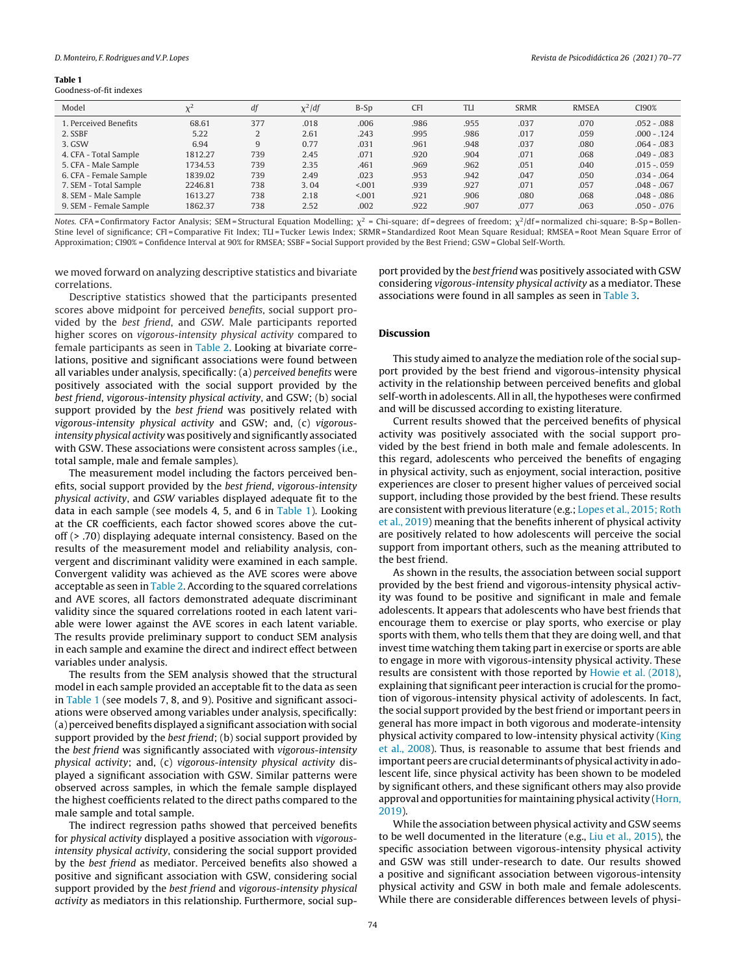#### <span id="page-4-0"></span>**Table 1**

Goodness-of-fit indexes

| Model                  | $\mathcal{V}^{\mathcal{L}}$ | df  | $\chi^2$ /df | $B-Sp$  | <b>CFI</b> | <b>TLI</b> | <b>SRMR</b> | <b>RMSEA</b> | CI90%         |
|------------------------|-----------------------------|-----|--------------|---------|------------|------------|-------------|--------------|---------------|
| 1. Perceived Benefits  | 68.61                       | 377 | .018         | .006    | .986       | .955       | .037        | .070         | $.052 - .088$ |
| 2. SSBF                | 5.22                        | 2   | 2.61         | .243    | .995       | .986       | .017        | .059         | $.000 - .124$ |
| 3. GSW                 | 6.94                        | 9   | 0.77         | .031    | .961       | .948       | .037        | .080         | $.064 - .083$ |
| 4. CFA - Total Sample  | 1812.27                     | 739 | 2.45         | .071    | .920       | .904       | .071        | .068         | $.049 - .083$ |
| 5. CFA - Male Sample   | 1734.53                     | 739 | 2.35         | .461    | .969       | .962       | .051        | .040         | $.015 - .059$ |
| 6. CFA - Female Sample | 1839.02                     | 739 | 2.49         | .023    | .953       | .942       | .047        | .050         | $.034 - .064$ |
| 7. SEM - Total Sample  | 2246.81                     | 738 | 3.04         | < 0.001 | .939       | .927       | .071        | .057         | $.048 - .067$ |
| 8. SEM - Male Sample   | 1613.27                     | 738 | 2.18         | < 0.001 | .921       | .906       | .080        | .068         | $.048 - .086$ |
| 9. SEM - Female Sample | 1862.37                     | 738 | 2.52         | .002    | .922       | .907       | .077        | .063         | .050 - .076   |

Notes. CFA= Confirmatory Factor Analysis; SEM= Structural Equation Modelling;  $\chi^2$  = Chi-square; df= degrees of freedom;  $\chi^2$ /df= normalized chi-square; B-Sp= Bollen-Stine level of significance; CFI = Comparative Fit Index; TLI = Tucker Lewis Index; SRMR = Standardized Root Mean Square Residual; RMSEA= Root Mean Square Error of Approximation; CI90% = Confidence Interval at 90% for RMSEA; SSBF = Social Support provided by the Best Friend; GSW= Global Self-Worth.

we moved forward on analyzing descriptive statistics and bivariate correlations.

Descriptive statistics showed that the participants presented scores above midpoint for perceived benefits, social support provided by the best friend, and GSW. Male participants reported higher scores on vigorous-intensity physical activity compared to female participants as seen in [Table](#page-5-0) 2. Looking at bivariate correlations, positive and significant associations were found between all variables under analysis, specifically: (a) perceived benefits were positively associated with the social support provided by the best friend, vigorous-intensity physical activity, and GSW; (b) social support provided by the best friend was positively related with vigorous-intensity physical activity and GSW; and, (c) vigorousintensity physical activity was positively and significantly associated with GSW. These associations were consistent across samples (i.e., total sample, male and female samples).

The measurement model including the factors perceived benefits, social support provided by the best friend, vigorous-intensity physical activity, and GSW variables displayed adequate fit to the data in each sample (see models 4, 5, and 6 in Table 1). Looking at the CR coefficients, each factor showed scores above the cutoff (> .70) displaying adequate internal consistency. Based on the results of the measurement model and reliability analysis, convergent and discriminant validity were examined in each sample. Convergent validity was achieved as the AVE scores were above acceptable as seen in [Table](#page-5-0) 2. According to the squared correlations and AVE scores, all factors demonstrated adequate discriminant validity since the squared correlations rooted in each latent variable were lower against the AVE scores in each latent variable. The results provide preliminary support to conduct SEM analysis in each sample and examine the direct and indirect effect between variables under analysis.

The results from the SEM analysis showed that the structural model in each sample provided an acceptable fit to the data as seen in Table 1 (see models 7, 8, and 9). Positive and significant associations were observed among variables under analysis, specifically: (a) perceived benefits displayed a significant association with social support provided by the *best friend*; (b) social support provided by the best friend was significantly associated with vigorous-intensity physical activity; and, (c) vigorous-intensity physical activity displayed a significant association with GSW. Similar patterns were observed across samples, in which the female sample displayed the highest coefficients related to the direct paths compared to the male sample and total sample.

The indirect regression paths showed that perceived benefits for physical activity displayed a positive association with vigorousintensity physical activity, considering the social support provided by the best friend as mediator. Perceived benefits also showed a positive and significant association with GSW, considering social support provided by the best friend and vigorous-intensity physical activity as mediators in this relationship. Furthermore, social support provided by the *best friend* was positively associated with GSW considering vigorous-intensity physical activity as a mediator. These associations were found in all samples as seen in [Table](#page-5-0) 3.

#### **Discussion**

This study aimed to analyze the mediation role of the social support provided by the best friend and vigorous-intensity physical activity in the relationship between perceived benefits and global self-worth in adolescents. All in all, the hypotheses were confirmed and will be discussed according to existing literature.

Current results showed that the perceived benefits of physical activity was positively associated with the social support provided by the best friend in both male and female adolescents. In this regard, adolescents who perceived the benefits of engaging in physical activity, such as enjoyment, social interaction, positive experiences are closer to present higher values of perceived social support, including those provided by the best friend. These results are consistent with previous literature (e.g.; [Lopes](#page-7-0) et [al.,](#page-7-0) [2015;](#page-7-0) [Roth](#page-7-0) et [al.,](#page-7-0) [2019\)](#page-7-0) meaning that the benefits inherent of physical activity are positively related to how adolescents will perceive the social support from important others, such as the meaning attributed to the best friend.

As shown in the results, the association between social support provided by the best friend and vigorous-intensity physical activity was found to be positive and significant in male and female adolescents. It appears that adolescents who have best friends that encourage them to exercise or play sports, who exercise or play sports with them, who tells them that they are doing well, and that invest time watching them taking part in exercise or sports are able to engage in more with vigorous-intensity physical activity. These results are consistent with those reported by [Howie](#page-7-0) et [al.](#page-7-0) [\(2018\),](#page-7-0) explaining that significant peer interaction is crucial for the promotion of vigorous-intensity physical activity of adolescents. In fact, the social support provided by the best friend or important peers in general has more impact in both vigorous and moderate-intensity physical activity compared to low-intensity physical activity ([King](#page-7-0) et [al.,](#page-7-0) [2008\).](#page-7-0) Thus, is reasonable to assume that best friends and important peers are crucial determinants of physical activity in adolescent life, since physical activity has been shown to be modeled by significant others, and these significant others may also provide approval and opportunities for maintaining physical activity ([Horn,](#page-7-0) [2019\).](#page-7-0)

While the association between physical activity and GSW seems to be well documented in the literature (e.g., [Liu](#page-7-0) et [al.,](#page-7-0) [2015\),](#page-7-0) the specific association between vigorous-intensity physical activity and GSW was still under-research to date. Our results showed a positive and significant association between vigorous-intensity physical activity and GSW in both male and female adolescents. While there are considerable differences between levels of physi-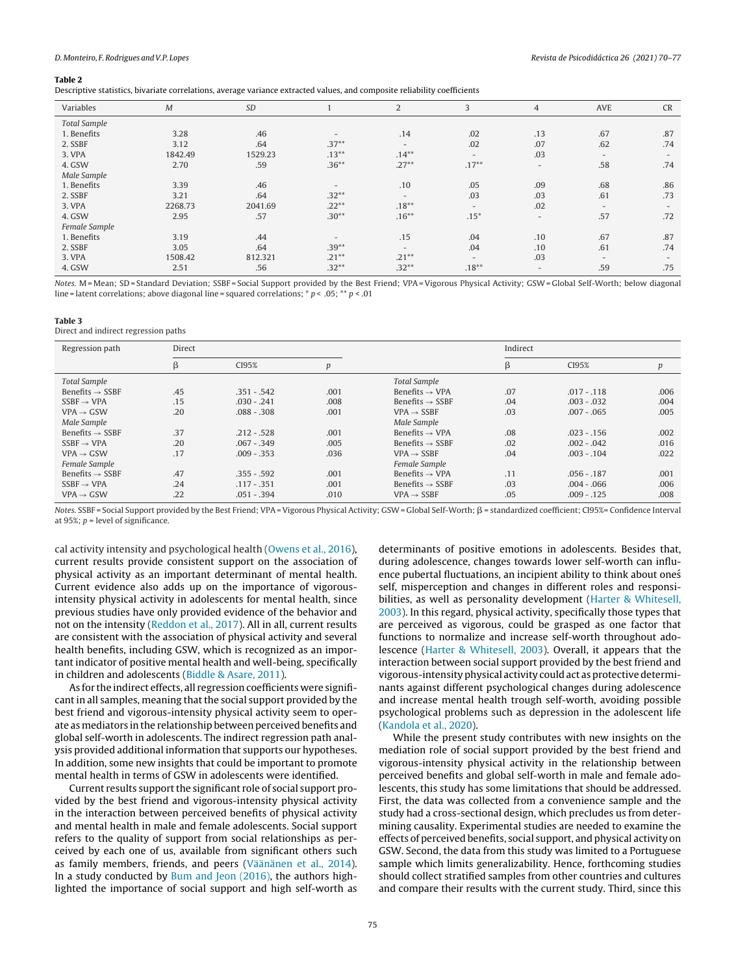#### <span id="page-5-0"></span>**Table 2**

Descriptive statistics, bivariate correlations, average variance extracted values, and composite reliability coefficients

| Variables           | M       | <b>SD</b> |          | $\overline{2}$           | 3                        | $\overline{4}$ | AVE                      | <b>CR</b>                |
|---------------------|---------|-----------|----------|--------------------------|--------------------------|----------------|--------------------------|--------------------------|
| <b>Total Sample</b> |         |           |          |                          |                          |                |                          |                          |
| 1. Benefits         | 3.28    | .46       |          | .14                      | .02                      | .13            | .67                      | .87                      |
| 2. SSBF             | 3.12    | .64       | $.37***$ |                          | .02                      | .07            | .62                      | .74                      |
| 3. VPA              | 1842.49 | 1529.23   | $.13***$ | $.14***$                 | $\overline{\phantom{0}}$ | .03            | $-$                      | $\overline{\phantom{0}}$ |
| 4. GSW              | 2.70    | .59       | $.36***$ | $.27***$                 | $.17***$                 | $-$            | .58                      | .74                      |
| Male Sample         |         |           |          |                          |                          |                |                          |                          |
| 1. Benefits         | 3.39    | .46       |          | .10                      | .05                      | .09            | .68                      | .86                      |
| 2. SSBF             | 3.21    | .64       | $.32***$ | $\overline{\phantom{0}}$ | .03                      | .03            | .61                      | .73                      |
| 3. VPA              | 2268.73 | 2041.69   | $.22***$ | $.18***$                 | $\overline{\phantom{0}}$ | .02            | $\overline{\phantom{a}}$ | $\overline{\phantom{0}}$ |
| 4. GSW              | 2.95    | .57       | $.30**$  | $.16***$                 | $.15*$                   | $-$            | .57                      | .72                      |
| Female Sample       |         |           |          |                          |                          |                |                          |                          |
| 1. Benefits         | 3.19    | .44       |          | .15                      | .04                      | .10            | .67                      | .87                      |
| 2. SSBF             | 3.05    | .64       | $.39***$ | $\overline{\phantom{0}}$ | .04                      | .10            | .61                      | .74                      |
| 3. VPA              | 1508.42 | 812.321   | $.21***$ | $.21***$                 | $\overline{\phantom{0}}$ | .03            | $\overline{\phantom{a}}$ | $\overline{\phantom{0}}$ |
| 4. GSW              | 2.51    | .56       | $.32***$ | $.32***$                 | $.18***$                 | $-$            | .59                      | .75                      |

Notes. M = Mean; SD = Standard Deviation; SSBF = Social Support provided by the Best Friend; VPA = Vigorous Physical Activity; GSW = Global Self-Worth; below diagonal line = latent correlations; above diagonal line = squared correlations;  $* p < .05; ** p < .01$ 

#### **Table 3**

Direct and indirect regression paths

| Regression path             | Direct |               |                  |                             | Indirect |               |      |  |
|-----------------------------|--------|---------------|------------------|-----------------------------|----------|---------------|------|--|
|                             | β      | CI95%         | $\boldsymbol{p}$ |                             | β        | CI95%         | p    |  |
| <b>Total Sample</b>         |        |               |                  | <b>Total Sample</b>         |          |               |      |  |
| Benefits $\rightarrow$ SSBF | .45    | $.351 - .542$ | .001             | Benefits $\rightarrow$ VPA  | .07      | $.017 - .118$ | .006 |  |
| $SSBF \rightarrow VPA$      | .15    | $.030 - .241$ | .008             | Benefits $\rightarrow$ SSBF | .04      | $.003 - .032$ | .004 |  |
| $VPA \rightarrow GSW$       | .20    | $.088 - .308$ | .001             | $VPA \rightarrow SSBF$      | .03      | $.007 - .065$ | .005 |  |
| Male Sample                 |        |               |                  | Male Sample                 |          |               |      |  |
| Benefits $\rightarrow$ SSBF | .37    | $.212 - .528$ | .001             | Benefits $\rightarrow$ VPA  | .08      | $.023 - .156$ | .002 |  |
| $SSBF \rightarrow VPA$      | .20    | $.067 - .349$ | .005             | Benefits $\rightarrow$ SSBF | .02      | $.002 - .042$ | .016 |  |
| $VPA \rightarrow GSW$       | .17    | $.009 - .353$ | .036             | $VPA \rightarrow SSBF$      | .04      | $.003 - .104$ | .022 |  |
| Female Sample               |        |               |                  | Female Sample               |          |               |      |  |
| Benefits $\rightarrow$ SSBF | .47    | $.355 - .592$ | .001             | Benefits $\rightarrow$ VPA  | .11      | $.056 - .187$ | .001 |  |
| $SSBF \rightarrow VPA$      | .24    | $.117 - .351$ | .001             | Benefits $\rightarrow$ SSBF | .03      | $.004 - .066$ | .006 |  |
| $VPA \rightarrow GSW$       | .22    | $.051 - .394$ | .010             | $VPA \rightarrow SSBF$      | .05      | $.009 - .125$ | .008 |  |

Notes. SSBF = Social Support provided by the Best Friend; VPA = Vigorous Physical Activity; GSW = Global Self-Worth;  $\beta$  = standardized coefficient; CI95%= Confidence Interval at 95%;  $p$  = level of significance.

cal activity intensity and psychological health ([Owens](#page-7-0) [et](#page-7-0) [al.,](#page-7-0) [2016\),](#page-7-0) current results provide consistent support on the association of physical activity as an important determinant of mental health. Current evidence also adds up on the importance of vigorousintensity physical activity in adolescents for mental health, since previous studies have only provided evidence of the behavior and not on the intensity [\(Reddon](#page-7-0) et [al.,](#page-7-0) [2017\).](#page-7-0) All in all, current results are consistent with the association of physical activity and several health benefits, including GSW, which is recognized as an important indicator of positive mental health and well-being, specifically in children and adolescents ([Biddle](#page-6-0) [&](#page-6-0) [Asare,](#page-6-0) [2011\).](#page-6-0)

As for the indirect effects, all regression coefficients were significant in all samples, meaning that the social support provided by the best friend and vigorous-intensity physical activity seem to operate as mediators in the relationship between perceived benefits and global self-worth in adolescents. The indirect regression path analysis provided additional information that supports our hypotheses. In addition, some new insights that could be important to promote mental health in terms of GSW in adolescents were identified.

Current results support the significant role of social support provided by the best friend and vigorous-intensity physical activity in the interaction between perceived benefits of physical activity and mental health in male and female adolescents. Social support refers to the quality of support from social relationships as perceived by each one of us, available from significant others such as family members, friends, and peers ([Väänänen](#page-7-0) [et](#page-7-0) [al.,](#page-7-0) [2014\).](#page-7-0) In a study conducted by [Bum](#page-6-0) [and](#page-6-0) [Jeon](#page-6-0) [\(2016\),](#page-6-0) the authors highlighted the importance of social support and high self-worth as

determinants of positive emotions in adolescents. Besides that, during adolescence, changes towards lower self-worth can influence pubertal fluctuations, an incipient ability to think about ones´ self, misperception and changes in different roles and responsibilities, as well as personality development ([Harter](#page-7-0) [&](#page-7-0) [Whitesell,](#page-7-0) [2003\).](#page-7-0) In this regard, physical activity, specifically those types that are perceived as vigorous, could be grasped as one factor that functions to normalize and increase self-worth throughout adolescence [\(Harter](#page-7-0) [&](#page-7-0) [Whitesell,](#page-7-0) [2003\).](#page-7-0) Overall, it appears that the interaction between social support provided by the best friend and vigorous-intensity physical activity could act as protective determinants against different psychological changes during adolescence and increase mental health trough self-worth, avoiding possible psychological problems such as depression in the adolescent life ([Kandola](#page-7-0) et [al.,](#page-7-0) [2020\).](#page-7-0)

While the present study contributes with new insights on the mediation role of social support provided by the best friend and vigorous-intensity physical activity in the relationship between perceived benefits and global self-worth in male and female adolescents, this study has some limitations that should be addressed. First, the data was collected from a convenience sample and the study had a cross-sectional design, which precludes us from determining causality. Experimental studies are needed to examine the effects of perceived benefits, social support, and physical activity on GSW. Second, the data from this study was limited to a Portuguese sample which limits generalizability. Hence, forthcoming studies should collect stratified samples from other countries and cultures and compare their results with the current study. Third, since this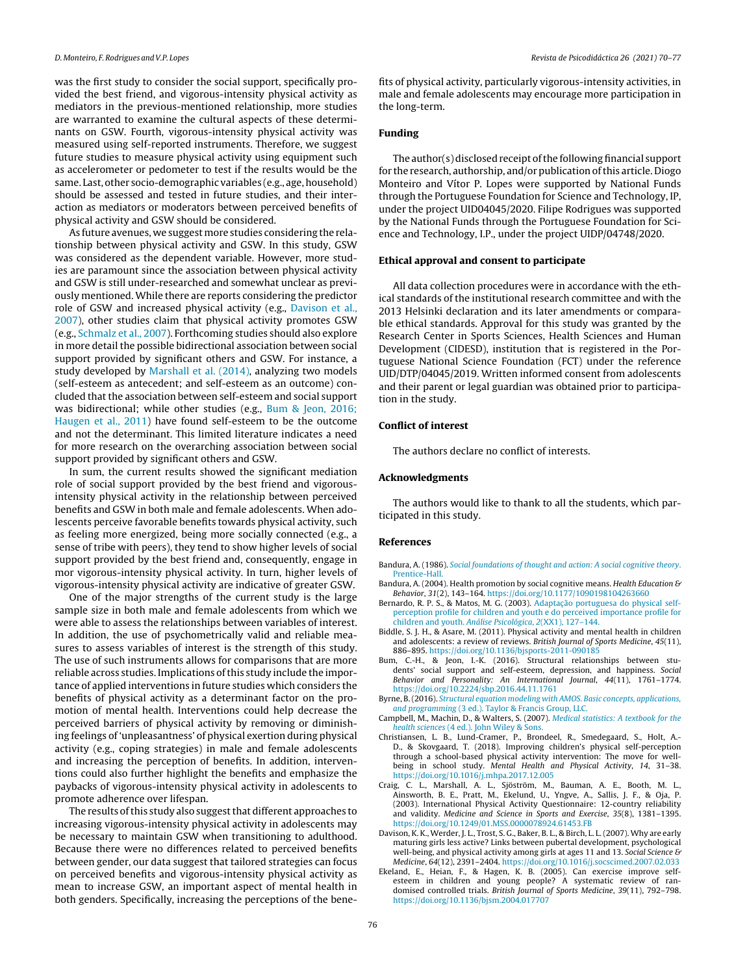<span id="page-6-0"></span>was the first study to consider the social support, specifically provided the best friend, and vigorous-intensity physical activity as mediators in the previous-mentioned relationship, more studies are warranted to examine the cultural aspects of these determinants on GSW. Fourth, vigorous-intensity physical activity was measured using self-reported instruments. Therefore, we suggest future studies to measure physical activity using equipment such as accelerometer or pedometer to test if the results would be the same. Last, other socio-demographic variables (e.g., age, household) should be assessed and tested in future studies, and their interaction as mediators or moderators between perceived benefits of physical activity and GSW should be considered.

As future avenues, we suggestmore studies considering the relationship between physical activity and GSW. In this study, GSW was considered as the dependent variable. However, more studies are paramount since the association between physical activity and GSW is still under-researched and somewhat unclear as previously mentioned. While there are reports considering the predictor role of GSW and increased physical activity (e.g., Davison et al., 2007), other studies claim that physical activity promotes GSW (e.g., [Schmalz](#page-7-0) et [al.,](#page-7-0) [2007\).](#page-7-0) Forthcoming studies should also explore in more detail the possible bidirectional association between social support provided by significant others and GSW. For instance, a study developed by [Marshall](#page-7-0) [et](#page-7-0) [al.](#page-7-0) [\(2014\),](#page-7-0) analyzing two models (self-esteem as antecedent; and self-esteem as an outcome) concluded that the association between self-esteem and social support was bidirectional; while other studies (e.g., Bum & Jeon, 2016; Haugen et al., 2011) have found self-esteem to be the outcome and not the determinant. This limited literature indicates a need for more research on the overarching association between social support provided by significant others and GSW.

In sum, the current results showed the significant mediation role of social support provided by the best friend and vigorousintensity physical activity in the relationship between perceived benefits and GSW in both male and female adolescents. When adolescents perceive favorable benefits towards physical activity, such as feeling more energized, being more socially connected (e.g., a sense of tribe with peers), they tend to show higher levels of social support provided by the best friend and, consequently, engage in mor vigorous-intensity physical activity. In turn, higher levels of vigorous-intensity physical activity are indicative of greater GSW.

One of the major strengths of the current study is the large sample size in both male and female adolescents from which we were able to assess the relationships between variables of interest. In addition, the use of psychometrically valid and reliable measures to assess variables of interest is the strength of this study. The use of such instruments allows for comparisons that are more reliable across studies. Implications of this study include the importance of applied interventions in future studies which considers the benefits of physical activity as a determinant factor on the promotion of mental health. Interventions could help decrease the perceived barriers of physical activity by removing or diminishing feelings of 'unpleasantness' of physical exertion during physical activity (e.g., coping strategies) in male and female adolescents and increasing the perception of benefits. In addition, interventions could also further highlight the benefits and emphasize the paybacks of vigorous-intensity physical activity in adolescents to promote adherence over lifespan.

The results of this study also suggest that different approaches to increasing vigorous-intensity physical activity in adolescents may be necessary to maintain GSW when transitioning to adulthood. Because there were no differences related to perceived benefits between gender, our data suggest that tailored strategies can focus on perceived benefits and vigorous-intensity physical activity as mean to increase GSW, an important aspect of mental health in both genders. Specifically, increasing the perceptions of the benefits of physical activity, particularly vigorous-intensity activities, in male and female adolescents may encourage more participation in the long-term.

#### **Funding**

The author(s) disclosed receipt of the following financial support for the research, authorship, and/or publication of this article. Diogo Monteiro and Vítor P. Lopes were supported by National Funds through the Portuguese Foundation for Science and Technology, IP, under the project UID04045/2020. Filipe Rodrigues was supported by the National Funds through the Portuguese Foundation for Science and Technology, I.P., under the project UIDP/04748/2020.

#### **Ethical approval and consent to participate**

All data collection procedures were in accordance with the ethical standards of the institutional research committee and with the 2013 Helsinki declaration and its later amendments or comparable ethical standards. Approval for this study was granted by the Research Center in Sports Sciences, Health Sciences and Human Development (CIDESD), institution that is registered in the Portuguese National Science Foundation (FCT) under the reference UID/DTP/04045/2019. Written informed consent from adolescents and their parent or legal guardian was obtained prior to participation in the study.

#### **Conflict of interest**

The authors declare no conflict of interests.

#### **Acknowledgments**

The authors would like to thank to all the students, which participated in this study.

#### **References**

- Bandura, A. (1986). [Social](http://refhub.elsevier.com/S2530-3805(20)30018-6/sbref0005) [foundations](http://refhub.elsevier.com/S2530-3805(20)30018-6/sbref0005) [of](http://refhub.elsevier.com/S2530-3805(20)30018-6/sbref0005) [thought](http://refhub.elsevier.com/S2530-3805(20)30018-6/sbref0005) [and](http://refhub.elsevier.com/S2530-3805(20)30018-6/sbref0005) [action:](http://refhub.elsevier.com/S2530-3805(20)30018-6/sbref0005) [A](http://refhub.elsevier.com/S2530-3805(20)30018-6/sbref0005) [social](http://refhub.elsevier.com/S2530-3805(20)30018-6/sbref0005) [cognitive](http://refhub.elsevier.com/S2530-3805(20)30018-6/sbref0005) [theory](http://refhub.elsevier.com/S2530-3805(20)30018-6/sbref0005)[.](http://refhub.elsevier.com/S2530-3805(20)30018-6/sbref0005) [Prentice-Hall.](http://refhub.elsevier.com/S2530-3805(20)30018-6/sbref0005)
- Bandura, A. (2004). Health promotion by social cognitive means. Health Education  $\mathcal G$ Behavior, 31(2), 143–164. <https://doi.org/10.1177/1090198104263660>
- Bernardo, R. P. S., & Matos, M. G. (2003). Adaptaç[ão](http://refhub.elsevier.com/S2530-3805(20)30018-6/sbref0015) [portuguesa](http://refhub.elsevier.com/S2530-3805(20)30018-6/sbref0015) [do](http://refhub.elsevier.com/S2530-3805(20)30018-6/sbref0015) [physical](http://refhub.elsevier.com/S2530-3805(20)30018-6/sbref0015) [self](http://refhub.elsevier.com/S2530-3805(20)30018-6/sbref0015)[perception](http://refhub.elsevier.com/S2530-3805(20)30018-6/sbref0015) [profile](http://refhub.elsevier.com/S2530-3805(20)30018-6/sbref0015) [for](http://refhub.elsevier.com/S2530-3805(20)30018-6/sbref0015) [children](http://refhub.elsevier.com/S2530-3805(20)30018-6/sbref0015) [and](http://refhub.elsevier.com/S2530-3805(20)30018-6/sbref0015) [youth](http://refhub.elsevier.com/S2530-3805(20)30018-6/sbref0015) [e](http://refhub.elsevier.com/S2530-3805(20)30018-6/sbref0015) [do](http://refhub.elsevier.com/S2530-3805(20)30018-6/sbref0015) [perceived](http://refhub.elsevier.com/S2530-3805(20)30018-6/sbref0015) [importance](http://refhub.elsevier.com/S2530-3805(20)30018-6/sbref0015) [profile](http://refhub.elsevier.com/S2530-3805(20)30018-6/sbref0015) [for](http://refhub.elsevier.com/S2530-3805(20)30018-6/sbref0015) [children](http://refhub.elsevier.com/S2530-3805(20)30018-6/sbref0015) [and](http://refhub.elsevier.com/S2530-3805(20)30018-6/sbref0015) [youth.](http://refhub.elsevier.com/S2530-3805(20)30018-6/sbref0015) [Análise](http://refhub.elsevier.com/S2530-3805(20)30018-6/sbref0015) [Psicológica](http://refhub.elsevier.com/S2530-3805(20)30018-6/sbref0015)[,](http://refhub.elsevier.com/S2530-3805(20)30018-6/sbref0015) [2](http://refhub.elsevier.com/S2530-3805(20)30018-6/sbref0015)[\(XX1\),](http://refhub.elsevier.com/S2530-3805(20)30018-6/sbref0015) [127](http://refhub.elsevier.com/S2530-3805(20)30018-6/sbref0015)–[144.](http://refhub.elsevier.com/S2530-3805(20)30018-6/sbref0015)
- Biddle, S. J. H., & Asare, M. (2011). Physical activity and mental health in children and adolescents: a review of reviews. British Journal of Sports Medicine, 45(11), 886–895. <https://doi.org/10.1136/bjsports-2011-090185>
- Bum, C.-H., & Jeon, I.-K. (2016). Structural relationships between students' social support and self-esteem, depression, and happiness. Social Behavior and Personality: An International Journal, 44(11), 1761–1774. <https://doi.org/10.2224/sbp.2016.44.11.1761>
- Byrne, B.(2016). [Structural](http://refhub.elsevier.com/S2530-3805(20)30018-6/sbref0030) [equation](http://refhub.elsevier.com/S2530-3805(20)30018-6/sbref0030) [modeling](http://refhub.elsevier.com/S2530-3805(20)30018-6/sbref0030) [with](http://refhub.elsevier.com/S2530-3805(20)30018-6/sbref0030) [AMOS.](http://refhub.elsevier.com/S2530-3805(20)30018-6/sbref0030) [Basic](http://refhub.elsevier.com/S2530-3805(20)30018-6/sbref0030) [concepts,](http://refhub.elsevier.com/S2530-3805(20)30018-6/sbref0030) [applications,](http://refhub.elsevier.com/S2530-3805(20)30018-6/sbref0030) [and](http://refhub.elsevier.com/S2530-3805(20)30018-6/sbref0030) [programming](http://refhub.elsevier.com/S2530-3805(20)30018-6/sbref0030) [\(3](http://refhub.elsevier.com/S2530-3805(20)30018-6/sbref0030) [ed.\).](http://refhub.elsevier.com/S2530-3805(20)30018-6/sbref0030) [Taylor](http://refhub.elsevier.com/S2530-3805(20)30018-6/sbref0030) [&](http://refhub.elsevier.com/S2530-3805(20)30018-6/sbref0030) [Francis](http://refhub.elsevier.com/S2530-3805(20)30018-6/sbref0030) [Group,](http://refhub.elsevier.com/S2530-3805(20)30018-6/sbref0030) [LLC.](http://refhub.elsevier.com/S2530-3805(20)30018-6/sbref0030)
- Campbell, M., Machin, D., & Walters, S. (2007). [Medical](http://refhub.elsevier.com/S2530-3805(20)30018-6/sbref0035) [statistics:](http://refhub.elsevier.com/S2530-3805(20)30018-6/sbref0035) [A](http://refhub.elsevier.com/S2530-3805(20)30018-6/sbref0035) [textbook](http://refhub.elsevier.com/S2530-3805(20)30018-6/sbref0035) [for](http://refhub.elsevier.com/S2530-3805(20)30018-6/sbref0035) [the](http://refhub.elsevier.com/S2530-3805(20)30018-6/sbref0035) [health](http://refhub.elsevier.com/S2530-3805(20)30018-6/sbref0035) [sciences](http://refhub.elsevier.com/S2530-3805(20)30018-6/sbref0035) [\(4](http://refhub.elsevier.com/S2530-3805(20)30018-6/sbref0035) [ed.\).](http://refhub.elsevier.com/S2530-3805(20)30018-6/sbref0035) [John](http://refhub.elsevier.com/S2530-3805(20)30018-6/sbref0035) [Wiley](http://refhub.elsevier.com/S2530-3805(20)30018-6/sbref0035) [&](http://refhub.elsevier.com/S2530-3805(20)30018-6/sbref0035) [Sons.](http://refhub.elsevier.com/S2530-3805(20)30018-6/sbref0035)
- Christiansen, L. B., Lund-Cramer, P., Brondeel, R., Smedegaard, S., Holt, A.- D., & Skovgaard, T. (2018). Improving children's physical self-perception through a school-based physical activity intervention: The move for wellbeing in school study. Mental Health and Physical Activity, 14, 31–38. <https://doi.org/10.1016/j.mhpa.2017.12.005>
- Craig, C. L., Marshall, A. L., Sjöström, M., Bauman, A. E., Booth, M. L., Ainsworth, B. E., Pratt, M., Ekelund, U., Yngve, A., Sallis, J. F., & Oja, P. (2003). International Physical Activity Questionnaire: 12-country reliability and validity. Medicine and Science in Sports and Exercise, 35(8), 1381–1395. <https://doi.org/10.1249/01.MSS.0000078924.61453.FB>
- Davison, K. K., Werder, J. L., Trost, S. G., Baker, B. L., & Birch, L. L. (2007). Why are early maturing girls less active? Links between pubertal development, psychological well-being, and physical activity among girls at ages 11 and 13. Social Science & Medicine, 64(12), 2391–2404. <https://doi.org/10.1016/j.socscimed.2007.02.033>
- Ekeland, E., Heian, F., & Hagen, K. B. (2005). Can exercise improve selfesteem in children and young people? A systematic review of randomised controlled trials. British Journal of Sports Medicine, 39(11), 792–798. <https://doi.org/10.1136/bjsm.2004.017707>